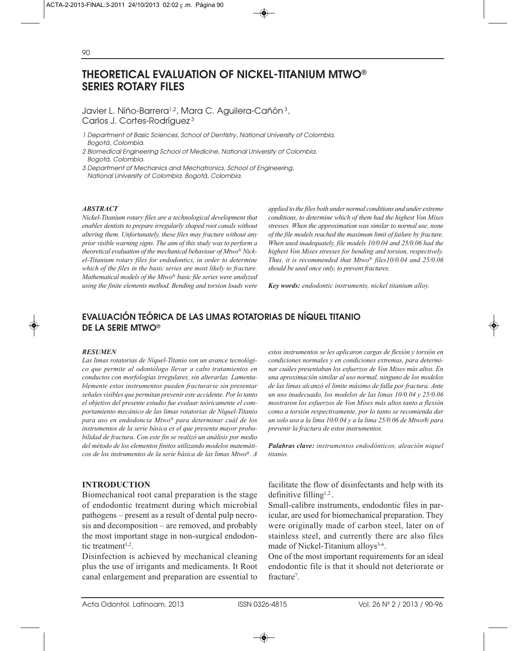# **THEORETICAL EVALUATION OF NICKEL-TITANIUM MTWO® SERIES ROTARY FILES**

Javier L. Niño-Barrera<sup>1,2</sup>, Mara C. Aguilera-Cañón<sup>3</sup>, Carlos J. Cortes-Rodríguez <sup>3</sup>

- 1 Department of Basic Sciences, School of Dentistry, National University of Colombia. Bogotá, Colombia.
- 2 Biomedical Engineering School of Medicine, National University of Colombia. Bogotá, Colombia.
- 3 Department of Mechanics and Mechatronics, School of Engineering, National University of Colombia. Bogotá, Colombia.

### *ABSTRACT*

*Nickel-Titanium rotary files are a technological development that enables dentists to prepare irregularly shaped root canals without altering them. Unfortunately, these files may fracture without any prior visible warning signs. The aim of this study was to perform a theoretical evaluation of the mechanical behaviour of Mtwo® Nickel-Titanium rotary files for endodontics, in order to determine which of the files in the basic series are most likely to fracture. Mathematical models of the Mtwo® basic file series were analyzed using the finite elements method. Bending and torsion loads were* *applied to the files both under normal conditions and under extreme conditions, to determine which of them had the highest Von Mises stresses. When the approximation was similar to normal use, none of the file models reached the maximum limit of failure by fracture. When used inadequately, file models 10/0.04 and 25/0.06 had the highest Von Mises stresses for bending and torsion, respectively. Thus, it is recommended that Mtwo® files10/0.04 and 25/0.06 should be used once only, to prevent fractures.* 

*Key words: endodontic instruments, nickel titanium alloy.*

# **EVALUACIÓN TEÓRICA DE LAS LIMAS ROTATORIAS DE NÍQUEL TITANIO DE LA SERIE MTWO®**

#### *RESUMEN*

*Las limas rotatorias de Níquel-Titanio son un avance tecnológico que permite al odontólogo llevar a cabo tratamientos en conductos con morfologías irregulares, sin alterarlas. Lamentablemente estos instrumentos pueden fracturarse sin presentar señales visibles que permitan prevenir este accidente. Por lo tanto el objetivo del presente estudio fue evaluar teóricamente el comportamiento mecánico de las limas rotatorias de Níquel-Titanio para uso en endodoncia Mtwo® para determinar cuál de los instrumentos de la serie básica es el que presenta mayor probabilidad de fractura. Con este fin se realizó un análisis por medio del método de los elementos finitos utilizando modelos matemáticos de los instrumentos de la serie básica de las limas Mtwo®. A*

### **INTRODUCTION**

Biomechanical root canal preparation is the stage of endodontic treatment during which microbial pathogens – present as a result of dental pulp necrosis and decomposition – are removed, and probably the most important stage in non-surgical endodontic treatment<sup>1,2</sup>.

Disinfection is achieved by mechanical cleaning plus the use of irrigants and medicaments. It Root canal enlargement and preparation are essential to

*estos instrumentos se les aplicaron cargas de flexión y torsión en condiciones normales y en condiciones extremas, para determinar cuáles presentaban los esfuerzos de Von Mises más altos. En una aproximación similar al uso normal, ninguno de los modelos de las limas alcanzó el limite máximo de falla por fractura. Ante un uso inadecuado, los modelos de las limas 10/0.04 y 25/0.06 mostraron los esfuerzos de Von Mises más altos tanto a flexión como a torsión respectivamente, por lo tanto se recomienda dar un solo uso a la lima 10/0.04 y a la lima 25/0.06 de Mtwo® para prevenir la fractura de estos instrumentos.* 

*Palabras clave: instrumentos endodónticos, aleación niquel titanio.*

facilitate the flow of disinfectants and help with its definitive filling<sup>1,2</sup>.

Small-calibre instruments, endodontic files in paricular, are used for biomechanical preparation. They were originally made of carbon steel, later on of stainless steel, and currently there are also files made of Nickel-Titanium alloys<sup>3-6</sup>.

One of the most important requirements for an ideal endodontic file is that it should not deteriorate or fracture<sup>7</sup>.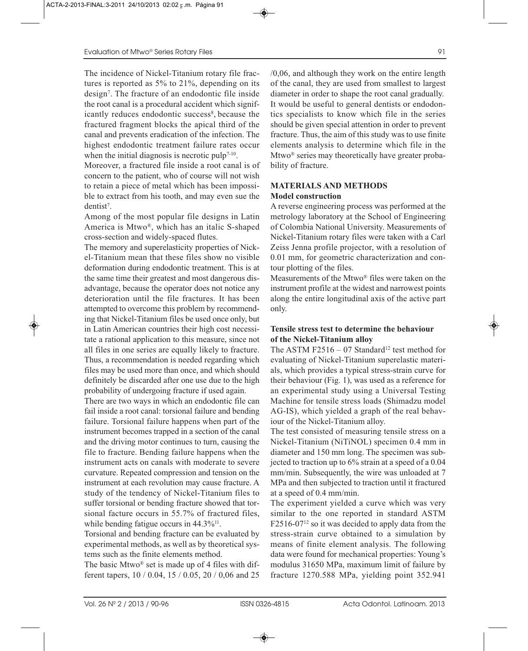The incidence of Nickel-Titanium rotary file fractures is reported as 5% to 21%, depending on its design7. The fracture of an endodontic file inside the root canal is a procedural accident which significantly reduces endodontic success<sup>8</sup>, because the fractured fragment blocks the apical third of the canal and prevents eradication of the infection. The highest endodontic treatment failure rates occur when the initial diagnosis is necrotic pulp<sup> $7-10$ </sup>.

Moreover, a fractured file inside a root canal is of concern to the patient, who of course will not wish to retain a piece of metal which has been impossible to extract from his tooth, and may even sue the dentist<sup>7</sup>.

Among of the most popular file designs in Latin America is Mtwo®, which has an italic S-shaped cross-section and widely-spaced flutes.

The memory and superelasticity properties of Nickel-Titanium mean that these files show no visible deformation during endodontic treatment. This is at the same time their greatest and most dangerous disadvantage, because the operator does not notice any deterioration until the file fractures. It has been attempted to overcome this problem by recommending that Nickel-Titanium files be used once only, but in Latin American countries their high cost necessitate a rational application to this measure, since not all files in one series are equally likely to fracture. Thus, a recommendation is needed regarding which files may be used more than once, and which should definitely be discarded after one use due to the high probability of undergoing fracture if used again.

There are two ways in which an endodontic file can fail inside a root canal: torsional failure and bending failure. Torsional failure happens when part of the instrument becomes trapped in a section of the canal and the driving motor continues to turn, causing the file to fracture. Bending failure happens when the instrument acts on canals with moderate to severe curvature. Repeated compression and tension on the instrument at each revolution may cause fracture. A study of the tendency of Nickel-Titanium files to suffer torsional or bending fracture showed that torsional facture occurs in 55.7% of fractured files, while bending fatigue occurs in  $44.3\%$ <sup>11</sup>.

Torsional and bending fracture can be evaluated by experimental methods, as well as by theoretical systems such as the finite elements method.

The basic Mtwo<sup>®</sup> set is made up of 4 files with different tapers, 10 / 0.04, 15 / 0.05, 20 / 0,06 and 25 /0,06, and although they work on the entire length of the canal, they are used from smallest to largest diameter in order to shape the root canal gradually. It would be useful to general dentists or endodontics specialists to know which file in the series should be given special attention in order to prevent fracture. Thus, the aim of this study was to use finite elements analysis to determine which file in the Mtwo® series may theoretically have greater probability of fracture.

## **MATERIALS AND METHODS Model construction**

A reverse engineering process was performed at the metrology laboratory at the School of Engineering of Colombia National University. Measurements of Nickel-Titanium rotary files were taken with a Carl Zeiss Jenna profile projector, with a resolution of 0.01 mm, for geometric characterization and contour plotting of the files.

Measurements of the Mtwo® files were taken on the instrument profile at the widest and narrowest points along the entire longitudinal axis of the active part only.

## **Tensile stress test to determine the behaviour of the Nickel-Titanium alloy**

The ASTM F2516 – 07 Standard<sup>12</sup> test method for evaluating of Nickel-Titanium superelastic materials, which provides a typical stress-strain curve for their behaviour (Fig. 1), was used as a reference for an experimental study using a Universal Testing Machine for tensile stress loads (Shimadzu model AG-IS), which yielded a graph of the real behaviour of the Nickel-Titanium alloy.

The test consisted of measuring tensile stress on a Nickel-Titanium (NiTiNOL) specimen 0.4 mm in diameter and 150 mm long. The specimen was subjected to traction up to 6% strain at a speed of a 0.04 mm/min. Subsequently, the wire was unloaded at 7 MPa and then subjected to traction until it fractured at a speed of 0.4 mm/min.

The experiment yielded a curve which was very similar to the one reported in standard ASTM  $F2516-07^{12}$  so it was decided to apply data from the stress-strain curve obtained to a simulation by means of finite element analysis. The following data were found for mechanical properties: Young's modulus 31650 MPa, maximum limit of failure by fracture 1270.588 MPa, yielding point 352.941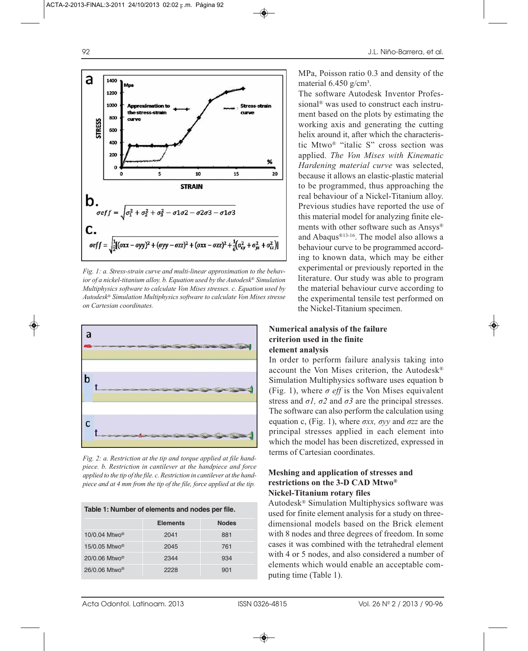

*Fig. 1: a. Stress-strain curve and multi-linear approximation to the behavior of a nickel-titanium alloy. b. Equation used by the Autodesk® Simulation Multiphysics software to calculate Von Mises stresses. c. Equation used by Autodesk® Simulation Multiphysics software to calculate Von Mises stresse on Cartesian coordinates.*



*Fig. 2: a. Restriction at the tip and torque applied at file handpiece. b. Restriction in cantilever at the handpiece and force applied to the tip of the file. c. Restriction in cantilever at the handpiece and at 4 mm from the tip of the file, force applied at the tip.*

| Table 1: Number of elements and nodes per file. |                 |              |  |  |  |
|-------------------------------------------------|-----------------|--------------|--|--|--|
|                                                 | <b>Elements</b> | <b>Nodes</b> |  |  |  |
| $10/0.04$ Mtwo <sup>®</sup>                     | 2041            | 881          |  |  |  |
| 15/0.05 Mtwo <sup>®</sup>                       | 2045            | 761          |  |  |  |
| $20/0.06$ Mtwo <sup>®</sup>                     | 2344            | 934          |  |  |  |
| $26/0.06$ Mtwo <sup>®</sup>                     | 2228            | 901          |  |  |  |

MPa, Poisson ratio 0.3 and density of the material  $6.450$  g/cm<sup>3</sup>.

The software Autodesk Inventor Professional® was used to construct each instrument based on the plots by estimating the working axis and generating the cutting helix around it, after which the characteristic Mtwo® "italic S" cross section was applied. *The Von Mises with Kinematic Hardening material curve* was selected, because it allows an elastic-plastic material to be programmed, thus approaching the real behaviour of a Nickel-Titanium alloy. Previous studies have reported the use of this material model for analyzing finite elements with other software such as Ansys® and Abaqus®13-16. The model also allows a behaviour curve to be programmed according to known data, which may be either experimental or previously reported in the literature. Our study was able to program the material behaviour curve according to the experimental tensile test performed on the Nickel-Titanium specimen.

# **Numerical analysis of the failure criterion used in the finite element analysis**

In order to perform failure analysis taking into account the Von Mises criterion, the Autodesk® Simulation Multiphysics software uses equation b (Fig. 1), where  $\sigma$  *eff* is the Von Mises equivalent stress and  $\sigma l$ ,  $\sigma 2$  and  $\sigma 3$  are the principal stresses. The software can also perform the calculation using equation c, (Fig. 1), where *σxx, σyy* and *σzz* are the principal stresses applied in each element into which the model has been discretized, expressed in terms of Cartesian coordinates.

### **Meshing and application of stresses and restrictions on the 3-D CAD Mtwo® Nickel-Titanium rotary files**

Autodesk® Simulation Multiphysics software was used for finite element analysis for a study on threedimensional models based on the Brick element with 8 nodes and three degrees of freedom. In some cases it was combined with the tetrahedral element with 4 or 5 nodes, and also considered a number of elements which would enable an acceptable computing time (Table 1).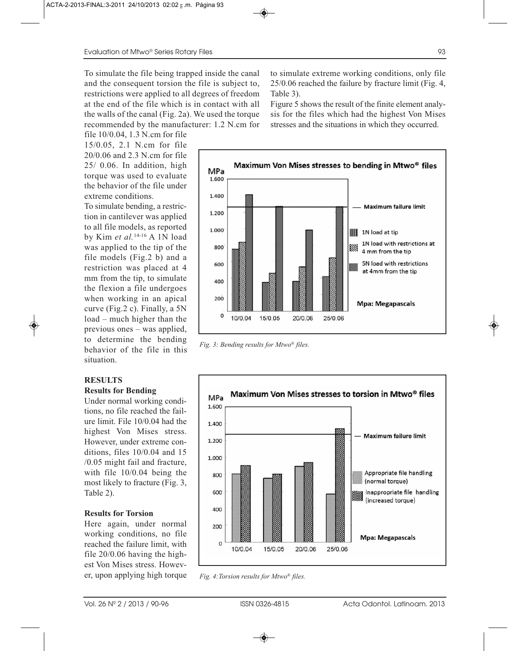To simulate the file being trapped inside the canal and the consequent torsion the file is subject to, restrictions were applied to all degrees of freedom at the end of the file which is in contact with all the walls of the canal (Fig. 2a). We used the torque recommended by the manufacturer: 1.2 N.cm for

file 10/0.04, 1.3 N.cm for file 15/0.05, 2.1 N.cm for file 20/0.06 and 2.3 N.cm for file 25/ 0.06. In addition, high torque was used to evaluate the behavior of the file under extreme conditions.

To simulate bending, a restriction in cantilever was applied to all file models, as reported by Kim *et al.*14-16 A 1N load was applied to the tip of the file models (Fig.2 b) and a restriction was placed at 4 mm from the tip, to simulate the flexion a file undergoes when working in an apical curve (Fig.2 c). Finally, a 5N load – much higher than the previous ones – was applied, to determine the bending behavior of the file in this situation.

### **RESULTS Results for Bending**

Under normal working conditions, no file reached the failure limit. File 10/0.04 had the highest Von Mises stress. However, under extreme conditions, files 10/0.04 and 15 /0.05 might fail and fracture, with file 10/0.04 being the most likely to fracture (Fig. 3, Table 2).

### **Results for Torsion**

Here again, under normal working conditions, no file reached the failure limit, with file 20/0.06 having the highest Von Mises stress. However, upon applying high torque

to simulate extreme working conditions, only file 25/0.06 reached the failure by fracture limit (Fig. 4, Table 3).

Figure 5 shows the result of the finite element analysis for the files which had the highest Von Mises stresses and the situations in which they occurred.



*Fig. 3: Bending results for Mtwo® files.*



*Fig. 4:Torsion results for Mtwo® files.*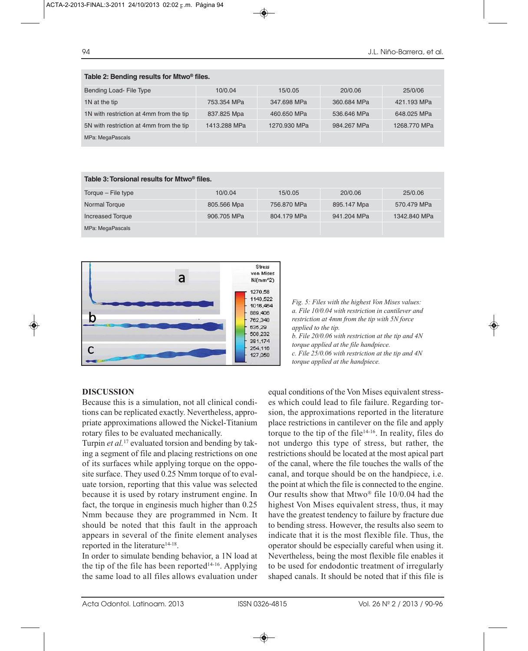| Table 2: Bending results for Mtwo® files. |              |              |             |              |  |  |  |  |
|-------------------------------------------|--------------|--------------|-------------|--------------|--|--|--|--|
| Bending Load- File Type                   | 10/0.04      | 15/0.05      | 20/0.06     | 25/0/06      |  |  |  |  |
| 1N at the tip                             | 753.354 MPa  | 347.698 MPa  | 360.684 MPa | 421.193 MPa  |  |  |  |  |
| 1N with restriction at 4mm from the tip   | 837.825 Mpa  | 460,650 MPa  | 536,646 MPa | 648.025 MPa  |  |  |  |  |
| 5N with restriction at 4mm from the tip   | 1413.288 MPa | 1270.930 MPa | 984.267 MPa | 1268,770 MPa |  |  |  |  |
| MPa: MegaPascals                          |              |              |             |              |  |  |  |  |

| Table 3: Torsional results for Mtwo <sup>®</sup> files. |             |             |             |              |  |  |  |
|---------------------------------------------------------|-------------|-------------|-------------|--------------|--|--|--|
| Torque – File type                                      | 10/0.04     | 15/0.05     | 20/0.06     | 25/0.06      |  |  |  |
| Normal Torque                                           | 805.566 Mpa | 756,870 MPa | 895.147 Mpa | 570.479 MPa  |  |  |  |
| <b>Increased Torque</b>                                 | 906,705 MPa | 804.179 MPa | 941.204 MPa | 1342.840 MPa |  |  |  |
| MPa: MegaPascals                                        |             |             |             |              |  |  |  |



*Fig. 5: Files with the highest Von Mises values: a. File 10/0.04 with restriction in cantilever and restriction at 4mm from the tip with 5N force applied to the tip. b. File 20/0.06 with restriction at the tip and 4N* 

*torque applied at the file handpiece. c. File 25/0.06 with restriction at the tip and 4N* 

*torque applied at the handpiece.*

# **DISCUSSION**

Because this is a simulation, not all clinical conditions can be replicated exactly. Nevertheless, appropriate approximations allowed the Nickel-Titanium rotary files to be evaluated mechanically.

Turpin *et al.*<sup>17</sup> evaluated torsion and bending by taking a segment of file and placing restrictions on one of its surfaces while applying torque on the opposite surface. They used 0.25 Nmm torque of to evaluate torsion, reporting that this value was selected because it is used by rotary instrument engine. In fact, the torque in enginesis much higher than 0.25 Nmm because they are programmed in Ncm. It should be noted that this fault in the approach appears in several of the finite element analyses reported in the literature<sup>14-18</sup>.

In order to simulate bending behavior, a 1N load at the tip of the file has been reported $14-16$ . Applying the same load to all files allows evaluation under equal conditions of the Von Mises equivalent stresses which could lead to file failure. Regarding torsion, the approximations reported in the literature place restrictions in cantilever on the file and apply torque to the tip of the file<sup>14-16</sup>. In reality, files do not undergo this type of stress, but rather, the restrictions should be located at the most apical part of the canal, where the file touches the walls of the canal, and torque should be on the handpiece, i.e. the point at which the file is connected to the engine. Our results show that  $Mtwo^{\circledR}$  file 10/0.04 had the highest Von Mises equivalent stress, thus, it may have the greatest tendency to failure by fracture due to bending stress. However, the results also seem to indicate that it is the most flexible file. Thus, the operator should be especially careful when using it. Nevertheless, being the most flexible file enables it to be used for endodontic treatment of irregularly shaped canals. It should be noted that if this file is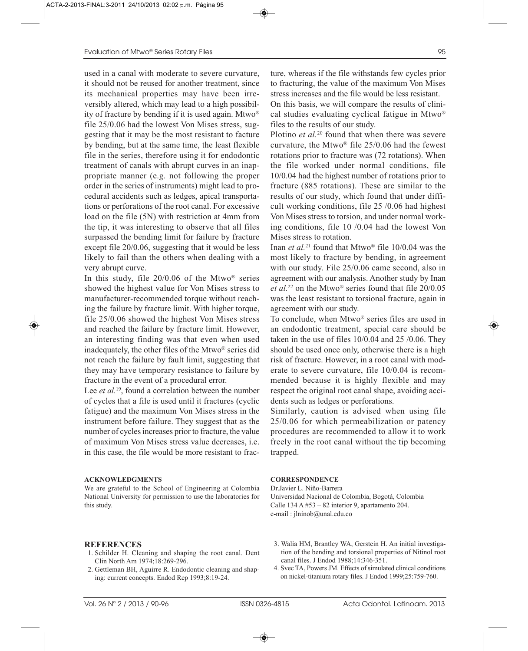used in a canal with moderate to severe curvature, it should not be reused for another treatment, since its mechanical properties may have been irreversibly altered, which may lead to a high possibility of fracture by bending if it is used again. Mtwo® file 25/0.06 had the lowest Von Mises stress, suggesting that it may be the most resistant to facture by bending, but at the same time, the least flexible file in the series, therefore using it for endodontic treatment of canals with abrupt curves in an inappropriate manner (e.g. not following the proper order in the series of instruments) might lead to procedural accidents such as ledges, apical transportations or perforations of the root canal. For excessive load on the file (5N) with restriction at 4mm from the tip, it was interesting to observe that all files surpassed the bending limit for failure by fracture except file 20/0.06, suggesting that it would be less likely to fail than the others when dealing with a very abrupt curve.

In this study, file  $20/0.06$  of the Mtwo<sup>®</sup> series showed the highest value for Von Mises stress to manufacturer-recommended torque without reaching the failure by fracture limit. With higher torque, file 25/0.06 showed the highest Von Mises stress and reached the failure by fracture limit. However, an interesting finding was that even when used inadequately, the other files of the Mtwo® series did not reach the failure by fault limit, suggesting that they may have temporary resistance to failure by fracture in the event of a procedural error.

Lee *et al.*<sup>19</sup>, found a correlation between the number of cycles that a file is used until it fractures (cyclic fatigue) and the maximum Von Mises stress in the instrument before failure. They suggest that as the number of cycles increases prior to fracture, the value of maximum Von Mises stress value decreases, i.e. in this case, the file would be more resistant to frac-

### **ACKNOWLEDGMENTS**

We are grateful to the School of Engineering at Colombia National University for permission to use the laboratories for this study.

### **REFERENCES**

- 1. Schilder H. Cleaning and shaping the root canal. Dent Clin North Am 1974;18:269-296.
- 2. Gettleman BH, Aguirre R. Endodontic cleaning and shaping: current concepts. Endod Rep 1993;8:19-24.

ture, whereas if the file withstands few cycles prior to fracturing, the value of the maximum Von Mises stress increases and the file would be less resistant.

On this basis, we will compare the results of clinical studies evaluating cyclical fatigue in Mtwo® files to the results of our study.

Plotino *et al.*<sup>20</sup> found that when there was severe curvature, the Mtwo® file 25/0.06 had the fewest rotations prior to fracture was (72 rotations). When the file worked under normal conditions, file 10/0.04 had the highest number of rotations prior to fracture (885 rotations). These are similar to the results of our study, which found that under difficult working conditions, file 25 /0.06 had highest Von Mises stress to torsion, and under normal working conditions, file 10 /0.04 had the lowest Von Mises stress to rotation.

Inan *et al.*<sup>21</sup> found that Mtwo® file 10/0.04 was the most likely to fracture by bending, in agreement with our study. File 25/0.06 came second, also in agreement with our analysis. Another study by Inan *et al.*<sup>22</sup> on the Mtwo® series found that file 20/0.05 was the least resistant to torsional fracture, again in agreement with our study.

To conclude, when Mtwo® series files are used in an endodontic treatment, special care should be taken in the use of files 10/0.04 and 25 /0.06. They should be used once only, otherwise there is a high risk of fracture. However, in a root canal with moderate to severe curvature, file 10/0.04 is recommended because it is highly flexible and may respect the original root canal shape, avoiding accidents such as ledges or perforations.

Similarly, caution is advised when using file 25/0.06 for which permeabilization or patency procedures are recommended to allow it to work freely in the root canal without the tip becoming trapped.

### **CORRESPONDENCE**

Dr.Javier L. Niño-Barrera Universidad Nacional de Colombia, Bogotá, Colombia Calle  $134 \text{ A } #53 - 82$  interior 9, apartamento 204. e-mail : jlninob@unal.edu.co

- 3. Walia HM, Brantley WA, Gerstein H. An initial investigation of the bending and torsional properties of Nitinol root canal files. J Endod 1988;14:346-351.
- 4. Svec TA, Powers JM. Effects of simulated clinical conditions on nickel-titanium rotary files. J Endod 1999;25:759-760.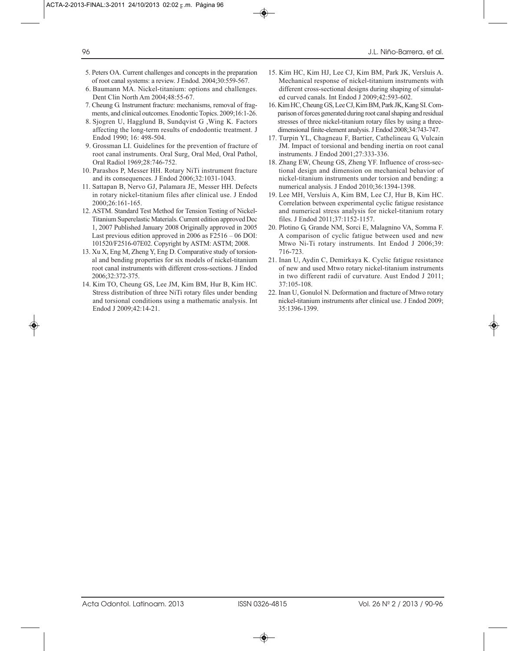- 5. Peters OA. Current challenges and concepts in the preparation of root canal systems: a review. J Endod. 2004;30:559-567.
- 6. Baumann MA. Nickel-titanium: options and challenges. Dent Clin North Am 2004;48:55-67.
- 7. Cheung G. Instrument fracture: mechanisms, removal of fragments, and clinical outcomes. Enodontic Topics. 2009;16:1-26.
- 8. Sjogren U, Hagglund B, Sundqvist G ,Wing K. Factors affecting the long-term results of endodontic treatment. J Endod 1990; 16: 498-504.
- 9. Grossman LI. Guidelines for the prevention of fracture of root canal instruments. Oral Surg, Oral Med, Oral Pathol, Oral Radiol 1969;28:746-752.
- 10. Parashos P, Messer HH. Rotary NiTi instrument fracture and its consequences. J Endod 2006;32:1031-1043.
- 11. Sattapan B, Nervo GJ, Palamara JE, Messer HH. Defects in rotary nickel-titanium files after clinical use. J Endod 2000;26:161-165.
- 12. ASTM. Standard Test Method for Tension Testing of Nickel-Titanium Superelastic Materials. Current edition approved Dec 1, 2007 Published January 2008 Originally approved in 2005 Last previous edition approved in 2006 as F2516 – 06 DOI: 101520/F2516-07E02. Copyright by ASTM: ASTM; 2008.
- 13. Xu X, Eng M, Zheng Y, Eng D. Comparative study of torsional and bending properties for six models of nickel-titanium root canal instruments with different cross-sections. J Endod 2006;32:372-375.
- 14. Kim TO, Cheung GS, Lee JM, Kim BM, Hur B, Kim HC. Stress distribution of three NiTi rotary files under bending and torsional conditions using a mathematic analysis. Int Endod J 2009;42:14-21.
- 15. Kim HC, Kim HJ, Lee CJ, Kim BM, Park JK, Versluis A. Mechanical response of nickel-titanium instruments with different cross-sectional designs during shaping of simulated curved canals. Int Endod J 2009;42:593-602.
- 16. Kim HC, Cheung GS, Lee CJ, Kim BM, Park JK, Kang SI. Comparison of forces generated during root canal shaping and residual stresses of three nickel-titanium rotary files by using a threedimensional finite-element analysis. J Endod 2008;34:743-747.
- 17. Turpin YL, Chagneau F, Bartier, Cathelineau G, Vulcain JM. Impact of torsional and bending inertia on root canal instruments. J Endod 2001;27:333-336.
- 18. Zhang EW, Cheung GS, Zheng YF. Influence of cross-sectional design and dimension on mechanical behavior of nickel-titanium instruments under torsion and bending: a numerical analysis. J Endod 2010;36:1394-1398.
- 19. Lee MH, Versluis A, Kim BM, Lee CJ, Hur B, Kim HC. Correlation between experimental cyclic fatigue resistance and numerical stress analysis for nickel-titanium rotary files. J Endod 2011;37:1152-1157.
- 20. Plotino G, Grande NM, Sorci E, Malagnino VA, Somma F. A comparison of cyclic fatigue between used and new Mtwo Ni-Ti rotary instruments. Int Endod J 2006;39: 716-723.
- 21. Inan U, Aydin C, Demirkaya K. Cyclic fatigue resistance of new and used Mtwo rotary nickel-titanium instruments in two different radii of curvature. Aust Endod J 2011; 37:105-108.
- 22. Inan U, Gonulol N. Deformation and fracture of Mtwo rotary nickel-titanium instruments after clinical use. J Endod 2009; 35:1396-1399.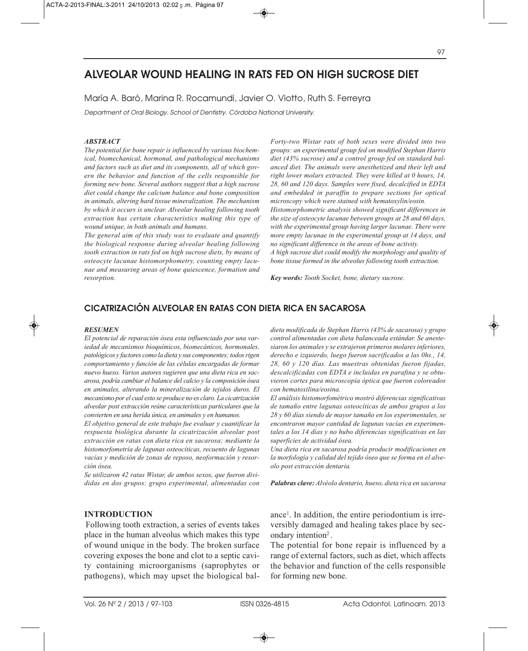# **ALVEOLAR WOUND HEALING IN RATS FED ON HIGH SUCROSE DIET**

María A. Baró, Marina R. Rocamundi, Javier O. Viotto, Ruth S. Ferreyra

Department of Oral Biology. School of Dentistry. Córdoba National University.

### *ABSTRACT*

*The potential for bone repair is influenced by various biochemical, biomechanical, hormonal, and pathological mechanisms and factors such as diet and its components, all of which govern the behavior and function of the cells responsible for forming new bone. Several authors suggest that a high sucrose diet could change the calcium balance and bone composition in animals, altering hard tissue mineralization. The mechanism by which it occurs is unclear. Alveolar healing following tooth extraction has certain characteristics making this type of wound unique, in both animals and humans.* 

*The general aim of this study was to evaluate and quantify the biological response during alveolar healing following tooth extraction in rats fed on high sucrose diets, by means of osteocyte lacunae histomorphometry, counting empty lacunae and measuring areas of bone quiescence, formation and resorption.* 

*Forty-two Wistar rats of both sexes were divided into two groups: an experimental group fed on modified Stephan Harris diet (43% sucrose) and a control group fed on standard balanced diet. The animals were anesthetized and their left and right lower molars extracted. They were killed at 0 hours, 14, 28, 60 and 120 days. Samples were fixed, decalcified in EDTA and embedded in paraffin to prepare sections for optical microscopy which were stained with hematoxylin/eosin. Histomorphometric analysis showed significant differences in the size of osteocyte lacunae between groups at 28 and 60 days, with the experimental group having larger lacunae. There were more empty lacunae in the experimental group at 14 days, and no significant difference in the areas of bone activity. A high sucrose diet could modify the morphology and quality of bone tissue formed in the alveolus following tooth extraction.*

*Key words: Tooth Socket, bone, dietary sucrose.*

# **CICATRIZACIÓN ALVEOLAR EN RATAS CON DIETA RICA EN SACAROSA**

#### *RESUMEN*

*El potencial de reparación ósea esta influenciado por una variedad de mecanismos bioquímicos, biomecánicos, hormonales, patológicos y factores como la dieta y sus componentes; todos rigen comportamiento y función de las células encargadas de formar nuevo hueso. Varios autores sugieren que una dieta rica en sacarosa, podría cambiar el balance del calcio y la composición ósea en animales, alterando la mineralización de tejidos duros. El mecanismo por el cual esto se produce no es claro. La cicatrización alveolar post extracción reúne características particulares que la convierten en una herida única, en animales y en humanos.* 

*El objetivo general de este trabajo fue evaluar y cuantificar la respuesta biológica durante la cicatrización alveolar post extracción en ratas con dieta rica en sacarosa; mediante la histomorfometría de lagunas osteocíticas, recuento de lagunas vacías y medición de zonas de reposo, neoformación y resorción ósea.*

*Se utilizaron 42 ratas Wistar, de ambos sexos, que fueron divididas en dos grupos: grupo experimental, alimentadas con*

### **INTRODUCTION**

Following tooth extraction, a series of events takes place in the human alveolus which makes this type of wound unique in the body. The broken surface covering exposes the bone and clot to a septic cavity containing microorganisms (saprophytes or pathogens), which may upset the biological bal-

*dieta modificada de Stephan Harris (43% de sacarosa) y grupo control alimentadas con dieta balanceada estándar. Se anestesiaron los animales y se extrajeron primeros molares inferiores, derecho e izquierdo, luego fueron sacrificados a las 0hs., 14, 28, 60 y 120 días. Las muestras obtenidas fueron fijadas, descalcificadas con EDTA e incluidas en parafina y se obtuvieron cortes para microscopia óptica que fueron coloreados con hematoxilina/eosina.* 

*El análisis histomorfométrico mostró diferencias significativas de tamaño entre lagunas osteocíticas de ambos grupos a los 28 y 60 días siendo de mayor tamaño en los experimentales, se encontraron mayor cantidad de lagunas vacías en experimentales a los 14 días y no hubo diferencias significativas en las superficies de actividad ósea.*

*Una dieta rica en sacarosa podría producir modificaciones en la morfología y calidad del tejido óseo que se forma en el alveolo post extracción dentaria.*

*Palabras clave: Alvéolo dentario, hueso, dieta rica en sacarosa*

ance1. In addition, the entire periodontium is irreversibly damaged and healing takes place by secondary intention<sup>2</sup>.

The potential for bone repair is influenced by a range of external factors, such as diet, which affects the behavior and function of the cells responsible for forming new bone.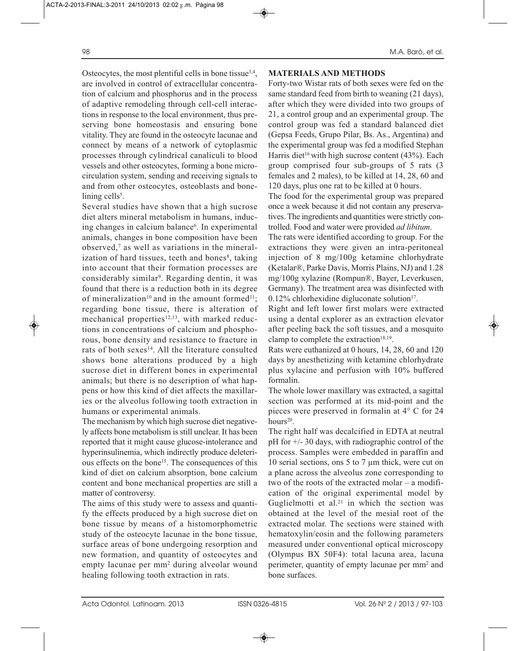Osteocytes, the most plentiful cells in bone tissue $3,4$ , are involved in control of extracellular concentration of calcium and phosphorus and in the process of adaptive remodeling through cell-cell interactions in response to the local environment, thus preserving bone homeostasis and ensuring bone vitality. They are found in the osteocyte lacunae and connect by means of a network of cytoplasmic processes through cylindrical canaliculi to blood vessels and other osteocytes, forming a bone microcirculation system, sending and receiving signals to and from other osteocytes, osteoblasts and bone- $\lim_{\varepsilon}$  cells<sup>5</sup>.

Several studies have shown that a high sucrose diet alters mineral metabolism in humans, inducing changes in calcium balance<sup>6</sup>. In experimental animals, changes in bone composition have been observed,7 as well as variations in the mineralization of hard tissues, teeth and bones<sup>8</sup>, taking into account that their formation processes are considerably similar<sup>9</sup>. Regarding dentin, it was found that there is a reduction both in its degree of mineralization<sup>10</sup> and in the amount formed<sup>11</sup>; regarding bone tissue, there is alteration of mechanical properties<sup>12,13</sup>, with marked reductions in concentrations of calcium and phosphorous, bone density and resistance to fracture in rats of both sexes<sup>14</sup>. All the literature consulted shows bone alterations produced by a high sucrose diet in different bones in experimental animals; but there is no description of what happens or how this kind of diet affects the maxillaries or the alveolus following tooth extraction in humans or experimental animals.

The mechanism by which high sucrose diet negatively affects bone metabolism is still unclear. It has been reported that it might cause glucose-intolerance and hyperinsulinemia, which indirectly produce deleterious effects on the bone<sup>15</sup>. The consequences of this kind of diet on calcium absorption, bone calcium content and bone mechanical properties are still a matter of controversy.

The aims of this study were to assess and quantify the effects produced by a high sucrose diet on bone tissue by means of a histomorphometric study of the osteocyte lacunae in the bone tissue, surface areas of bone undergoing resorption and new formation, and quantity of osteocytes and empty lacunae per mm2 during alveolar wound healing following tooth extraction in rats.

# **MATERIALS AND METHODS**

Forty-two Wistar rats of both sexes were fed on the same standard feed from birth to weaning (21 days), after which they were divided into two groups of 21, a control group and an experimental group. The control group was fed a standard balanced diet (Gepsa Feeds, Grupo Pilar, Bs. As., Argentina) and the experimental group was fed a modified Stephan Harris diet<sup>16</sup> with high sucrose content  $(43%)$ . Each group comprised four sub-groups of 5 rats (3 females and 2 males), to be killed at 14, 28, 60 and 120 days, plus one rat to be killed at 0 hours.

The food for the experimental group was prepared once a week because it did not contain any preservatives. The ingredients and quantities were strictly controlled. Food and water were provided *ad libitum*.

The rats were identified according to group. For the extractions they were given an intra-peritoneal injection of 8 mg/100g ketamine chlorhydrate (Ketalar®, Parke Davis, Morris Plains, NJ) and 1.28 mg/100g xylazine (Rompun®, Bayer, Leverkusen, Germany). The treatment area was disinfected with  $0.12\%$  chlorhexidine digluconate solution<sup>17</sup>.

Right and left lower first molars were extracted using a dental explorer as an extraction elevator after peeling back the soft tissues, and a mosquito clamp to complete the extraction<sup>18,19</sup>.

Rats were euthanized at 0 hours, 14, 28, 60 and 120 days by anesthetizing with ketamine chlorhydrate plus xylacine and perfusion with 10% buffered formalin.

The whole lower maxillary was extracted, a sagittal section was performed at its mid-point and the pieces were preserved in formalin at 4° C for 24 hours<sup>20</sup>.

The right half was decalcified in EDTA at neutral pH for  $+/- 30$  days, with radiographic control of the process. Samples were embedded in paraffin and 10 serial sections, ons 5 to 7  $\mu$ m thick, were cut on a plane across the alveolus zone corresponding to two of the roots of the extracted molar – a modification of the original experimental model by Guglielmotti et al. $21$  in which the section was obtained at the level of the mesial root of the extracted molar. The sections were stained with hematoxylin/eosin and the following parameters measured under conventional optical microscopy (Olympus BX 50F4): total lacuna area, lacuna perimeter, quantity of empty lacunae per mm2 and bone surfaces.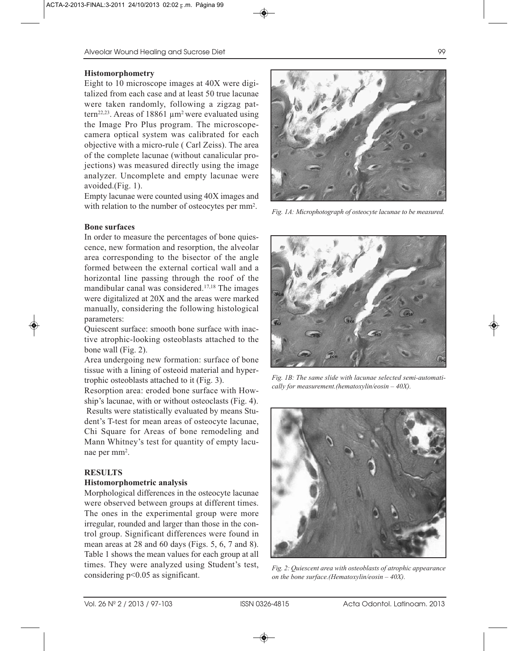### **Histomorphometry**

Eight to 10 microscope images at 40X were digitalized from each case and at least 50 true lacunae were taken randomly, following a zigzag pattern<sup>22,23</sup>. Areas of 18861  $\mu$ m<sup>2</sup> were evaluated using the Image Pro Plus program. The microscopecamera optical system was calibrated for each objective with a micro-rule ( Carl Zeiss). The area of the complete lacunae (without canalicular projections) was measured directly using the image analyzer. Uncomplete and empty lacunae were avoided.(Fig. 1).

Empty lacunae were counted using 40X images and with relation to the number of osteocytes per mm<sup>2</sup>.

## **Bone surfaces**

In order to measure the percentages of bone quiescence, new formation and resorption, the alveolar area corresponding to the bisector of the angle formed between the external cortical wall and a horizontal line passing through the roof of the mandibular canal was considered.17,18 The images were digitalized at 20X and the areas were marked manually, considering the following histological parameters:

Quiescent surface: smooth bone surface with inactive atrophic-looking osteoblasts attached to the bone wall (Fig. 2).

Area undergoing new formation: surface of bone tissue with a lining of osteoid material and hypertrophic osteoblasts attached to it (Fig. 3).

Resorption area: eroded bone surface with Howship's lacunae, with or without osteoclasts (Fig. 4). Results were statistically evaluated by means Student's T-test for mean areas of osteocyte lacunae, Chi Square for Areas of bone remodeling and Mann Whitney's test for quantity of empty lacunae per mm2.

# **RESULTS**

### **Histomorphometric analysis**

Morphological differences in the osteocyte lacunae were observed between groups at different times. The ones in the experimental group were more irregular, rounded and larger than those in the control group. Significant differences were found in mean areas at 28 and 60 days (Figs. 5, 6, 7 and 8). Table 1 shows the mean values for each group at all times. They were analyzed using Student's test, considering p<0.05 as significant.



*Fig. 1A: Microphotograph of osteocyte lacunae to be measured.*



*Fig. 1B: The same slide with lacunae selected semi-automatically for measurement.(hematoxylin/eosin – 40X).*



*Fig. 2: Quiescent area with osteoblasts of atrophic appearance on the bone surface.(Hematoxylin/eosin – 40X).*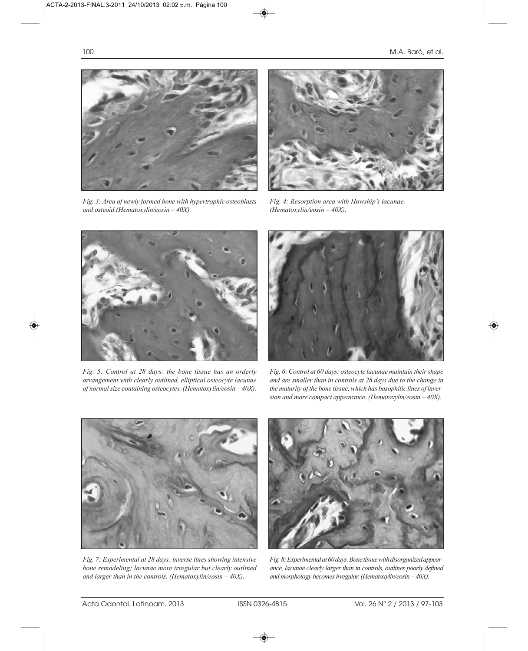

*Fig. 3: Area of newly formed bone with hypertrophic osteoblasts and osteoid.(Hematoxylin/eosin – 40X).*



*Fig. 4: Resorption area with Howship's lacunae. (Hematoxylin/eosin – 40X).*



*Fig. 5: Control at 28 days: the bone tissue has an orderly arrangement with clearly outlined, elliptical osteocyte lacunae of normal size containing osteocytes. (Hematoxylin/eosin – 40X).*



*Fig. 6: Control at 60 days: osteocyte lacunae maintain their shape and are smaller than in controls at 28 days due to the change in the maturity of the bone tissue, which has basophilic lines of inversion and more compact appearance. (Hematoxylin/eosin – 40X).*



*Fig. 7: Experimental at 28 days: inverse lines showing intensive bone remodeling; lacunae more irregular but clearly outlined and larger than in the controls. (Hematoxylin/eosin – 40X).*



*Fig. 8: Experimental at 60 days. Bone tissue with disorganized appearance, lacunae clearly larger than in controls, outlines poorly defined and morphology becomes irregular. (Hematoxylin/eosin – 40X).*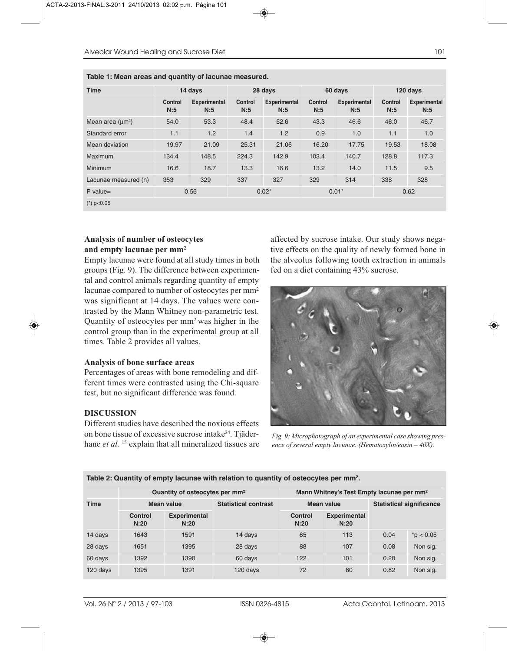| <b>Time</b>           | 14 days        |                            | 28 days               |                            | 60 days               |                            | 120 days              |                            |
|-----------------------|----------------|----------------------------|-----------------------|----------------------------|-----------------------|----------------------------|-----------------------|----------------------------|
|                       | Control<br>N:5 | <b>Experimental</b><br>N:5 | <b>Control</b><br>N:5 | <b>Experimental</b><br>N:5 | <b>Control</b><br>N:5 | <b>Experimental</b><br>N:5 | <b>Control</b><br>N:5 | <b>Experimental</b><br>N:5 |
| Mean area $(\mu m^2)$ | 54.0           | 53.3                       | 48.4                  | 52.6                       | 43.3                  | 46.6                       | 46.0                  | 46.7                       |
| Standard error        | 1.1            | 1.2                        | 1.4                   | 1.2                        | 0.9                   | 1.0                        | 1.1                   | 1.0                        |
| Mean deviation        | 19.97          | 21.09                      | 25.31                 | 21.06                      | 16.20                 | 17.75                      | 19.53                 | 18.08                      |
| Maximum               | 134.4          | 148.5                      | 224.3                 | 142.9                      | 103.4                 | 140.7                      | 128.8                 | 117.3                      |
| <b>Minimum</b>        | 16.6           | 18.7                       | 13.3                  | 16.6                       | 13.2                  | 14.0                       | 11.5                  | 9.5                        |
| Lacunae measured (n)  | 353            | 329                        | 337                   | 327                        | 329                   | 314                        | 338                   | 328                        |
| $P$ value=            | 0.56           |                            | $0.02*$               |                            | $0.01*$               |                            | 0.62                  |                            |
| $(*)$ p<0.05          |                |                            |                       |                            |                       |                            |                       |                            |

### **Table 1: Mean areas and quantity of lacunae measured.**

## **Analysis of number of osteocytes and empty lacunae per mm2**

Empty lacunae were found at all study times in both groups (Fig. 9). The difference between experimental and control animals regarding quantity of empty lacunae compared to number of osteocytes per mm2 was significant at 14 days. The values were contrasted by the Mann Whitney non-parametric test. Quantity of osteocytes per mm2 was higher in the control group than in the experimental group at all times. Table 2 provides all values.

### **Analysis of bone surface areas**

Percentages of areas with bone remodeling and different times were contrasted using the Chi-square test, but no significant difference was found.

### **DISCUSSION**

Different studies have described the noxious effects on bone tissue of excessive sucrose intake24. Tjäderhane *et al.* <sup>15</sup> explain that all mineralized tissues are affected by sucrose intake. Our study shows negative effects on the quality of newly formed bone in the alveolus following tooth extraction in animals fed on a diet containing 43% sucrose.



*Fig. 9: Microphotograph of an experimental case showing presence of several empty lacunae. (Hematoxylin/eosin – 40X).*

**Table 2: Quantity of empty lacunae with relation to quantity of osteocytes per mm2.**

|             | Quantity of osteocytes per mm <sup>2</sup> |                             |                             | Mann Whitney's Test Empty lacunae per mm <sup>2</sup> |                             |                                 |             |  |
|-------------|--------------------------------------------|-----------------------------|-----------------------------|-------------------------------------------------------|-----------------------------|---------------------------------|-------------|--|
| <b>Time</b> | <b>Mean value</b>                          |                             | <b>Statistical contrast</b> |                                                       | Mean value                  | <b>Statistical significance</b> |             |  |
|             | Control<br>N:20                            | <b>Experimental</b><br>N:20 |                             | Control<br>N:20                                       | <b>Experimental</b><br>N:20 |                                 |             |  |
| 14 days     | 1643                                       | 1591                        | 14 days                     | 65                                                    | 113                         | 0.04                            | $*p < 0.05$ |  |
| 28 days     | 1651                                       | 1395                        | 28 days                     | 88                                                    | 107                         | 0.08                            | Non sig.    |  |
| 60 days     | 1392                                       | 1390                        | 60 days                     | 122                                                   | 101                         | 0.20                            | Non sig.    |  |
| 120 days    | 1395                                       | 1391                        | 120 days                    | 72                                                    | 80                          | 0.82                            | Non sig.    |  |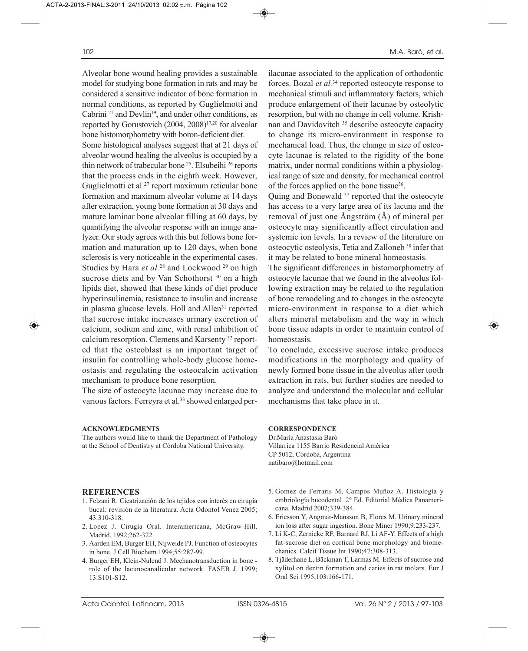Alveolar bone wound healing provides a sustainable model for studying bone formation in rats and may be considered a sensitive indicator of bone formation in normal conditions, as reported by Guglielmotti and Cabrini<sup>21</sup> and Devlin<sup>19</sup>, and under other conditions, as reported by Gorustovich (2004, 2008)<sup>17,20</sup> for alveolar bone histomorphometry with boron-deficient diet.

Some histological analyses suggest that at 21 days of alveolar wound healing the alveolus is occupied by a thin network of trabecular bone 25. Elsubeihi 26 reports that the process ends in the eighth week. However, Guglielmotti et al.<sup>27</sup> report maximum reticular bone formation and maximum alveolar volume at 14 days after extraction, young bone formation at 30 days and mature laminar bone alveolar filling at 60 days, by quantifying the alveolar response with an image analyzer. Our study agrees with this but follows bone formation and maturation up to 120 days, when bone sclerosis is very noticeable in the experimental cases. Studies by Hara et al.<sup>28</sup> and Lockwood<sup>29</sup> on high sucrose diets and by Van Schothorst<sup>30</sup> on a high lipids diet, showed that these kinds of diet produce hyperinsulinemia, resistance to insulin and increase in plasma glucose levels. Holl and Allen<sup>31</sup> reported that sucrose intake increases urinary excretion of calcium, sodium and zinc, with renal inhibition of calcium resorption. Clemens and Karsenty 32 reported that the osteoblast is an important target of insulin for controlling whole-body glucose homeostasis and regulating the osteocalcin activation mechanism to produce bone resorption.

The size of osteocyte lacunae may increase due to various factors. Ferreyra et al.<sup>33</sup> showed enlarged per-

### **ACKNOWLEDGMENTS**

The authors would like to thank the Department of Pathology at the School of Dentistry at Córdoba National University.

### **REFERENCES**

- 1. Felzani R. Cicatrización de los tejidos con interés en cirugía bucal: revisión de la literatura. Acta Odontol Venez 2005; 43:310-318.
- 2. Lopez J. Cirugía Oral. Interamericana, McGraw-Hill. Madrid, 1992;262-322.
- 3. Aarden EM, Burger EH, Nijweide PJ. Function of osteocytes in bone. J Cell Biochem 1994;55:287-99.
- 4. Burger EH, Klein-Nulend J. Mechanotransduction in bone role of the lacunocanalicular network. FASEB J. 1999; 13:S101-S12.

ilacunae associated to the application of orthodontic forces. Bozal *et al.*<sup>34</sup> reported osteocyte response to mechanical stimuli and inflammatory factors, which produce enlargement of their lacunae by osteolytic resorption, but with no change in cell volume. Krishnan and Davidovitch<sup>35</sup> describe osteocyte capacity to change its micro-environment in response to mechanical load. Thus, the change in size of osteocyte lacunae is related to the rigidity of the bone matrix, under normal conditions within a physiological range of size and density, for mechanical control of the forces applied on the bone tissue36.

Quing and Bonewald <sup>37</sup> reported that the osteocyte has access to a very large area of its lacuna and the removal of just one Ångström (Å) of mineral per osteocyte may significantly affect circulation and systemic ion levels. In a review of the literature on osteocytic osteolysis, Tetia and Zalloneb 38 infer that it may be related to bone mineral homeostasis.

The significant differences in histomorphometry of osteocyte lacunae that we found in the alveolus following extraction may be related to the regulation of bone remodeling and to changes in the osteocyte micro-environment in response to a diet which alters mineral metabolism and the way in which bone tissue adapts in order to maintain control of homeostasis.

To conclude, excessive sucrose intake produces modifications in the morphology and quality of newly formed bone tissue in the alveolus after tooth extraction in rats, but further studies are needed to analyze and understand the molecular and cellular mechanisms that take place in it.

### **CORRESPONDENCE**

Dr.María Anastasia Baró Villarrica 1155 Barrio Residencial América CP 5012, Córdoba, Argentina natibaro@hotmail.com

- 5. Gomez de Ferraris M, Campos Muñoz A. Histología y embriología bucodental. 2° Ed. Editorial Médica Panamericana. Madrid 2002;339-384.
- 6. Ericsson Y, Angmar-Mansson B, Flores M. Urinary mineral ion loss after sugar ingestion. Bone Miner 1990;9:233-237.
- 7. Li K-C, Zernicke RF, Barnard RJ, Li AF-Y. Effects of a high fat-sucrose diet on cortical bone morphology and biomechanics. Calcif Tissue Int 1990;47:308-313.
- 8. Tjäderhane L, Bäckman T, Larmas M. Effects of sucrose and xylitol on dentin formation and caries in rat molars. Eur J Oral Sci 1995;103:166-171.